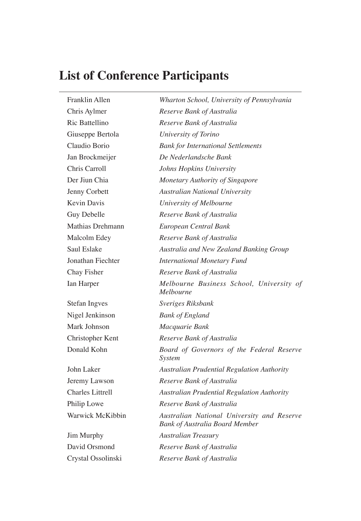## **List of Conference Participants**

| Franklin Allen          | Wharton School, University of Pennsylvania                                          |
|-------------------------|-------------------------------------------------------------------------------------|
| Chris Aylmer            | Reserve Bank of Australia                                                           |
| Ric Battellino          | Reserve Bank of Australia                                                           |
| Giuseppe Bertola        | University of Torino                                                                |
| Claudio Borio           | <b>Bank for International Settlements</b>                                           |
| Jan Brockmeijer         | De Nederlandsche Bank                                                               |
| Chris Carroll           | Johns Hopkins University                                                            |
| Der Jiun Chia           | Monetary Authority of Singapore                                                     |
| Jenny Corbett           | <b>Australian National University</b>                                               |
| <b>Kevin Davis</b>      | University of Melbourne                                                             |
| Guy Debelle             | Reserve Bank of Australia                                                           |
| Mathias Drehmann        | European Central Bank                                                               |
| Malcolm Edey            | Reserve Bank of Australia                                                           |
| Saul Eslake             | Australia and New Zealand Banking Group                                             |
| Jonathan Fiechter       | <b>International Monetary Fund</b>                                                  |
| Chay Fisher             | Reserve Bank of Australia                                                           |
| Ian Harper              | Melbourne Business School, University of<br>Melbourne                               |
| <b>Stefan Ingves</b>    | Sveriges Riksbank                                                                   |
| Nigel Jenkinson         | <b>Bank of England</b>                                                              |
| Mark Johnson            | Macquarie Bank                                                                      |
| Christopher Kent        | Reserve Bank of Australia                                                           |
| Donald Kohn             | Board of Governors of the Federal Reserve<br>System                                 |
| John Laker              | Australian Prudential Regulation Authority                                          |
| Jeremy Lawson           | Reserve Bank of Australia                                                           |
| <b>Charles Littrell</b> | <b>Australian Prudential Regulation Authority</b>                                   |
| Philip Lowe             | Reserve Bank of Australia                                                           |
| Warwick McKibbin        | Australian National University and Reserve<br><b>Bank of Australia Board Member</b> |
| Jim Murphy              | <b>Australian Treasury</b>                                                          |
| David Orsmond           | Reserve Bank of Australia                                                           |
| Crystal Ossolinski      | Reserve Bank of Australia                                                           |